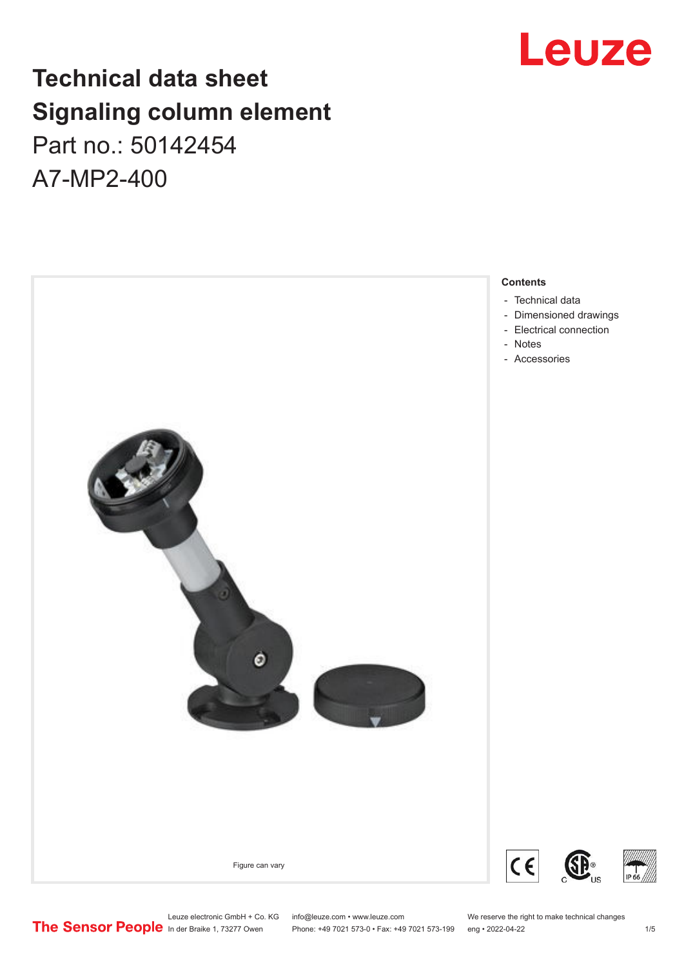## **Technical data sheet Signaling column element** Part no.: 50142454

A7-MP2-400



## Leuze

Leuze electronic GmbH + Co. KG info@leuze.com • www.leuze.com We reserve the right to make technical changes<br> **The Sensor People** in der Braike 1, 73277 Owen Phone: +49 7021 573-0 • Fax: +49 7021 573-199 eng • 2022-04-22

Phone: +49 7021 573-0 • Fax: +49 7021 573-199 eng • 2022-04-22 1 75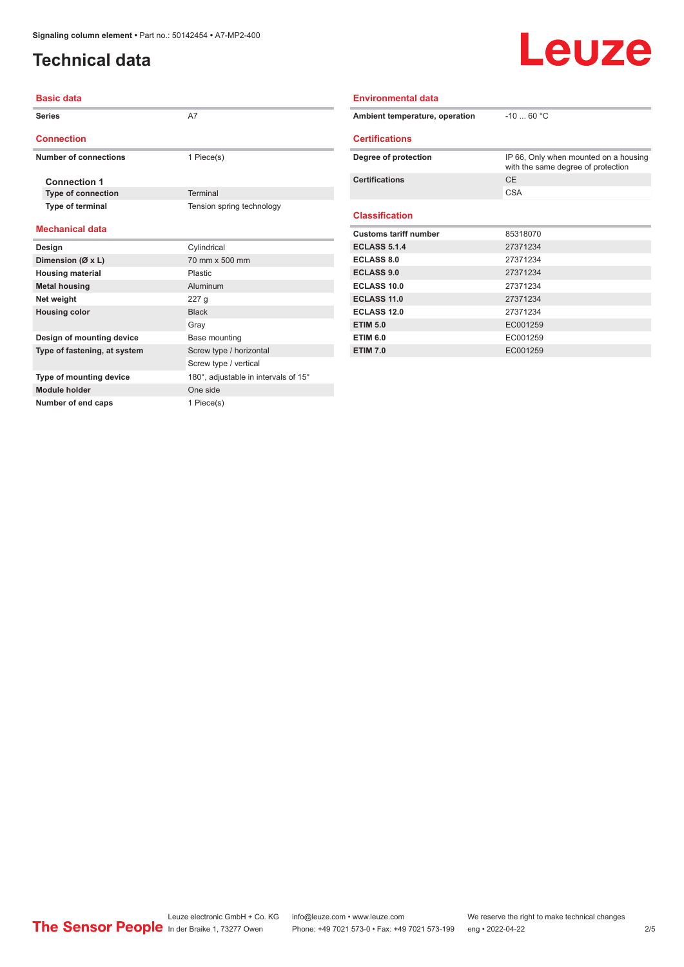**Module holder** One side **Number of end caps** 1 Piece(s)

### <span id="page-1-0"></span>**Technical data**

## Leuze

| <b>Basic data</b>            |                                      | <b>Environmental data</b>      |                                                                             |  |
|------------------------------|--------------------------------------|--------------------------------|-----------------------------------------------------------------------------|--|
| <b>Series</b>                | A7                                   | Ambient temperature, operation | $-1060 °C$                                                                  |  |
| <b>Connection</b>            |                                      | <b>Certifications</b>          |                                                                             |  |
| <b>Number of connections</b> | 1 Piece(s)                           | Degree of protection           | IP 66, Only when mounted on a housing<br>with the same degree of protection |  |
| <b>Connection 1</b>          |                                      | <b>Certifications</b>          | <b>CE</b>                                                                   |  |
| <b>Type of connection</b>    | Terminal                             |                                | <b>CSA</b>                                                                  |  |
| Type of terminal             | Tension spring technology            | <b>Classification</b>          |                                                                             |  |
| <b>Mechanical data</b>       |                                      | <b>Customs tariff number</b>   | 85318070                                                                    |  |
| Design                       | Cylindrical                          | <b>ECLASS 5.1.4</b>            | 27371234                                                                    |  |
| Dimension (Ø x L)            | 70 mm x 500 mm                       | <b>ECLASS 8.0</b>              | 27371234                                                                    |  |
| <b>Housing material</b>      | Plastic                              | <b>ECLASS 9.0</b>              | 27371234                                                                    |  |
| <b>Metal housing</b>         | <b>Aluminum</b>                      | <b>ECLASS 10.0</b>             | 27371234                                                                    |  |
| Net weight                   | 227 <sub>g</sub>                     | <b>ECLASS 11.0</b>             | 27371234                                                                    |  |
| <b>Housing color</b>         | <b>Black</b>                         | <b>ECLASS 12.0</b>             | 27371234                                                                    |  |
|                              | Gray                                 | <b>ETIM 5.0</b>                | EC001259                                                                    |  |
| Design of mounting device    | Base mounting                        | <b>ETIM 6.0</b>                | EC001259                                                                    |  |
| Type of fastening, at system | Screw type / horizontal              | <b>ETIM 7.0</b>                | EC001259                                                                    |  |
|                              | Screw type / vertical                |                                |                                                                             |  |
| Type of mounting device      | 180°, adjustable in intervals of 15° |                                |                                                                             |  |

Leuze electronic GmbH + Co. KG info@leuze.com • www.leuze.com We reserve the right to make technical changes In der Braike 1, 73277 Owen Phone: +49 7021 573-0 • Fax: +49 7021 573-199 eng • 2022-04-22 2 /5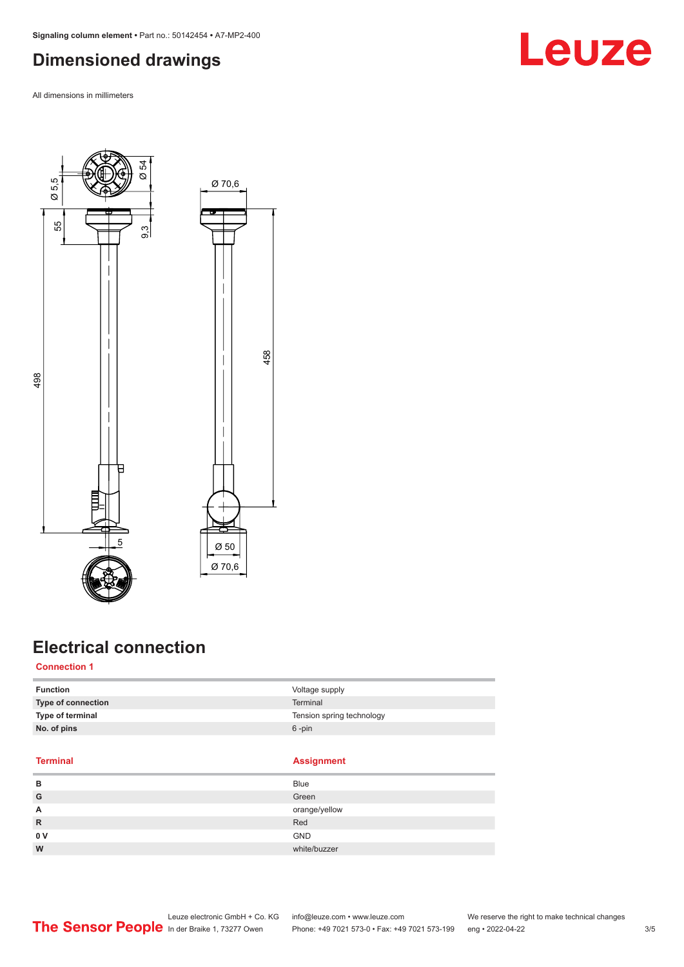### <span id="page-2-0"></span>**Dimensioned drawings**

All dimensions in millimeters



#### **Electrical connection**

#### **Connection 1**

| Type of connection | <b>Terminal</b>           |
|--------------------|---------------------------|
| Type of terminal   | Tension spring technology |
| No. of pins        | $6 - pin$                 |

#### **Terminal Assignment**

| в   | <b>Blue</b>   |
|-----|---------------|
| G   | Green         |
| A   | orange/yellow |
| R   | Red           |
| 0 V | <b>GND</b>    |
| W   | white/buzzer  |

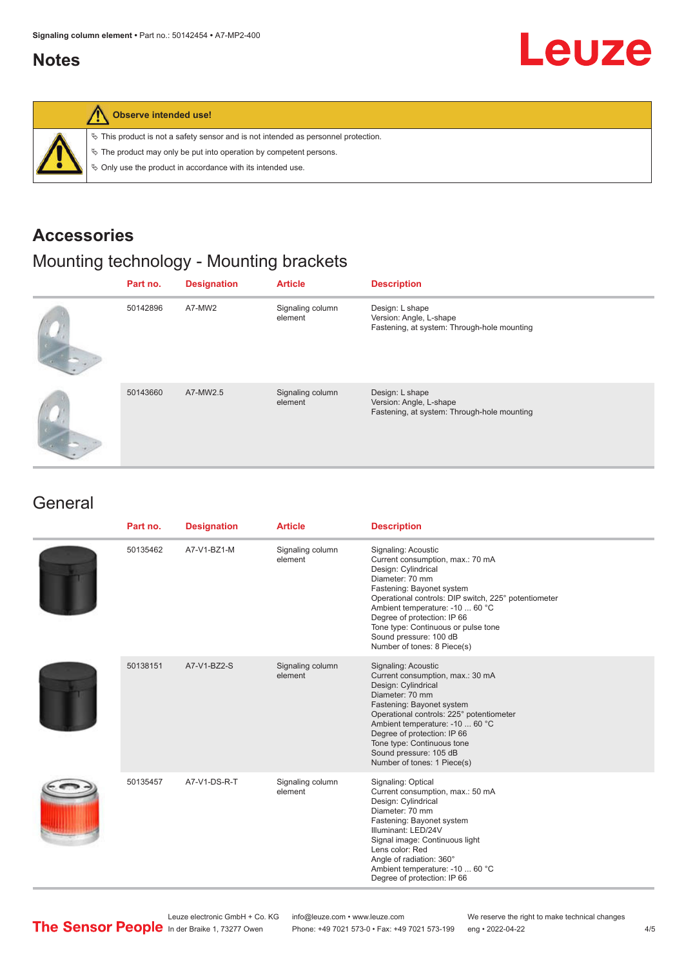#### <span id="page-3-0"></span>**Notes**

# Leuze



#### **Observe intended use!**

 $\%$  This product is not a safety sensor and is not intended as personnel protection.

 $\%$  The product may only be put into operation by competent persons.

 $\%$  Only use the product in accordance with its intended use.

#### **Accessories**

### Mounting technology - Mounting brackets

| Part no. | <b>Designation</b> | <b>Article</b>              | <b>Description</b>                                                                        |
|----------|--------------------|-----------------------------|-------------------------------------------------------------------------------------------|
| 50142896 | A7-MW2             | Signaling column<br>element | Design: L shape<br>Version: Angle, L-shape<br>Fastening, at system: Through-hole mounting |
| 50143660 | A7-MW2.5           | Signaling column<br>element | Design: L shape<br>Version: Angle, L-shape<br>Fastening, at system: Through-hole mounting |

#### **General**

| Part no. | <b>Designation</b> | <b>Article</b>              | <b>Description</b>                                                                                                                                                                                                                                                                                                                                       |
|----------|--------------------|-----------------------------|----------------------------------------------------------------------------------------------------------------------------------------------------------------------------------------------------------------------------------------------------------------------------------------------------------------------------------------------------------|
| 50135462 | A7-V1-BZ1-M        | Signaling column<br>element | Signaling: Acoustic<br>Current consumption, max.: 70 mA<br>Design: Cylindrical<br>Diameter: 70 mm<br>Fastening: Bayonet system<br>Operational controls: DIP switch, 225° potentiometer<br>Ambient temperature: -10  60 °C<br>Degree of protection: IP 66<br>Tone type: Continuous or pulse tone<br>Sound pressure: 100 dB<br>Number of tones: 8 Piece(s) |
| 50138151 | A7-V1-BZ2-S        | Signaling column<br>element | Signaling: Acoustic<br>Current consumption, max.: 30 mA<br>Design: Cylindrical<br>Diameter: 70 mm<br>Fastening: Bayonet system<br>Operational controls: 225° potentiometer<br>Ambient temperature: -10  60 °C<br>Degree of protection: IP 66<br>Tone type: Continuous tone<br>Sound pressure: 105 dB<br>Number of tones: 1 Piece(s)                      |
| 50135457 | A7-V1-DS-R-T       | Signaling column<br>element | Signaling: Optical<br>Current consumption, max.: 50 mA<br>Design: Cylindrical<br>Diameter: 70 mm<br>Fastening: Bayonet system<br>Illuminant: LED/24V<br>Signal image: Continuous light<br>Lens color: Red<br>Angle of radiation: 360°<br>Ambient temperature: -10  60 °C<br>Degree of protection: IP 66                                                  |

Leuze electronic GmbH + Co. KG info@leuze.com • www.leuze.com We reserve the right to make technical changes<br>
The Sensor People in der Braike 1, 73277 Owen Phone: +49 7021 573-0 • Fax: +49 7021 573-199 eng • 2022-04-22

Phone: +49 7021 573-0 • Fax: +49 7021 573-199 eng • 2022-04-22 4/5